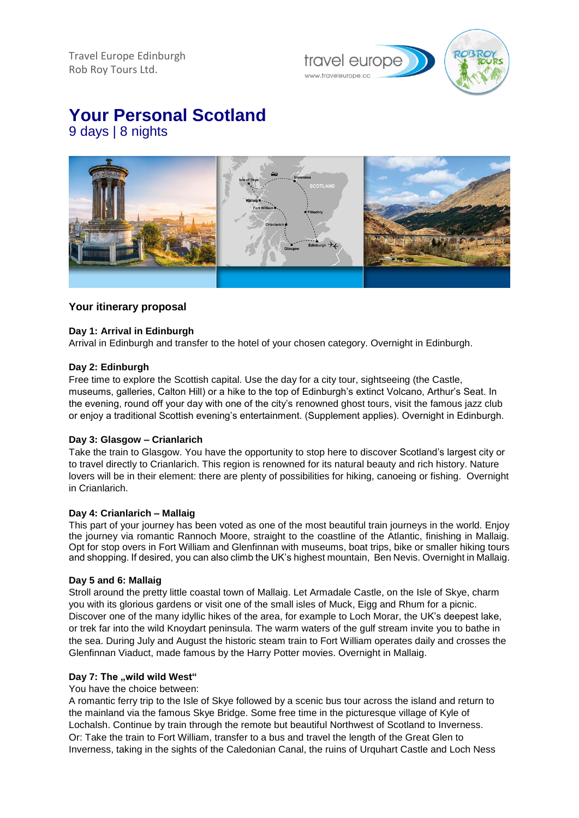Travel Europe Edinburgh Rob Roy Tours Ltd.



# **Your Personal Scotland** 9 days | 8 nights

# **Your itinerary proposal**

# **Day 1: Arrival in Edinburgh**

Arrival in Edinburgh and transfer to the hotel of your chosen category. Overnight in Edinburgh.

## **Day 2: Edinburgh**

Free time to explore the Scottish capital. Use the day for a city tour, sightseeing (the Castle, museums, galleries, Calton Hill) or a hike to the top of Edinburgh's extinct Volcano, Arthur's Seat. In the evening, round off your day with one of the city's renowned ghost tours, visit the famous jazz club or enjoy a traditional Scottish evening's entertainment. (Supplement applies). Overnight in Edinburgh.

## **Day 3: Glasgow – Crianlarich**

Take the train to Glasgow. You have the opportunity to stop here to discover Scotland's largest city or to travel directly to Crianlarich. This region is renowned for its natural beauty and rich history. Nature lovers will be in their element: there are plenty of possibilities for hiking, canoeing or fishing. Overnight in Crianlarich.

## **Day 4: Crianlarich – Mallaig**

This part of your journey has been voted as one of the most beautiful train journeys in the world. Enjoy the journey via romantic Rannoch Moore, straight to the coastline of the Atlantic, finishing in Mallaig. Opt for stop overs in Fort William and Glenfinnan with museums, boat trips, bike or smaller hiking tours and shopping. If desired, you can also climb the UK's highest mountain, Ben Nevis. Overnight in Mallaig.

## **Day 5 and 6: Mallaig**

Stroll around the pretty little coastal town of Mallaig. Let Armadale Castle, on the Isle of Skye, charm you with its glorious gardens or visit one of the small isles of Muck, Eigg and Rhum for a picnic. Discover one of the many idyllic hikes of the area, for example to Loch Morar, the UK's deepest lake, or trek far into the wild Knoydart peninsula. The warm waters of the gulf stream invite you to bathe in the sea. During July and August the historic steam train to Fort William operates daily and crosses the Glenfinnan Viaduct, made famous by the Harry Potter movies. Overnight in Mallaig.

## **Day 7: The "wild wild West"**

You have the choice between:

A romantic ferry trip to the Isle of Skye followed by a scenic bus tour across the island and return to the mainland via the famous Skye Bridge. Some free time in the picturesque village of Kyle of Lochalsh. Continue by train through the remote but beautiful Northwest of Scotland to Inverness. Or: Take the train to Fort William, transfer to a bus and travel the length of the Great Glen to Inverness, taking in the sights of the Caledonian Canal, the ruins of Urquhart Castle and Loch Ness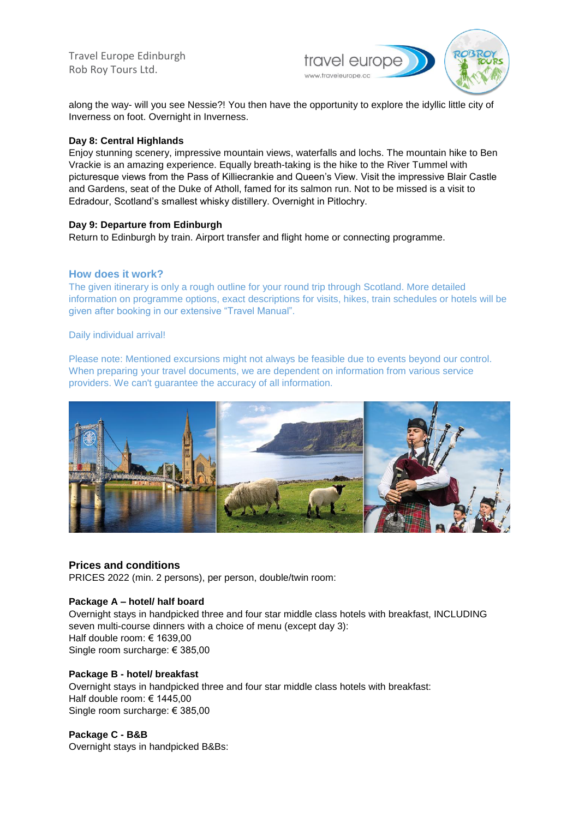Travel Europe Edinburgh Rob Roy Tours Ltd.



along the way- will you see Nessie?! You then have the opportunity to explore the idyllic little city of Inverness on foot. Overnight in Inverness.

## **Day 8: Central Highlands**

Enjoy stunning scenery, impressive mountain views, waterfalls and lochs. The mountain hike to Ben Vrackie is an amazing experience. Equally breath-taking is the hike to the River Tummel with picturesque views from the Pass of Killiecrankie and Queen's View. Visit the impressive Blair Castle and Gardens, seat of the Duke of Atholl, famed for its salmon run. Not to be missed is a visit to Edradour, Scotland's smallest whisky distillery. Overnight in Pitlochry.

## **Day 9: Departure from Edinburgh**

Return to Edinburgh by train. Airport transfer and flight home or connecting programme.

## **How does it work?**

The given itinerary is only a rough outline for your round trip through Scotland. More detailed information on programme options, exact descriptions for visits, hikes, train schedules or hotels will be given after booking in our extensive "Travel Manual".

#### Daily individual arrival!

Please note: Mentioned excursions might not always be feasible due to events beyond our control. When preparing your travel documents, we are dependent on information from various service providers. We can't guarantee the accuracy of all information.



# **Prices and conditions**

PRICES 2022 (min. 2 persons), per person, double/twin room:

#### **Package A – hotel/ half board**

Overnight stays in handpicked three and four star middle class hotels with breakfast, INCLUDING seven multi-course dinners with a choice of menu (except day 3): Half double room: € 1639,00 Single room surcharge: € 385,00

# **Package B - hotel/ breakfast**

Overnight stays in handpicked three and four star middle class hotels with breakfast: Half double room: € 1445,00 Single room surcharge: € 385,00

## **Package C - B&B**

Overnight stays in handpicked B&Bs: